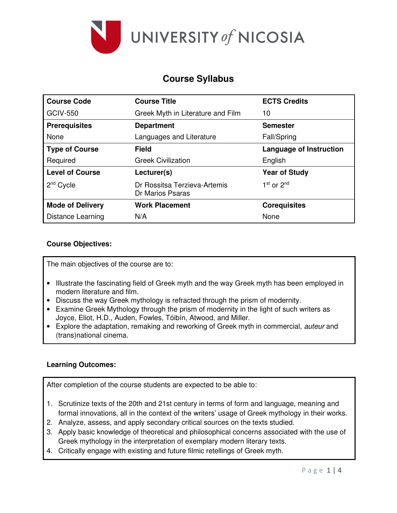

# **Course Syllabus**

| <b>Course Code</b>      | <b>Course Title</b>                              | <b>ECTS Credits</b>            |
|-------------------------|--------------------------------------------------|--------------------------------|
| <b>GCIV-550</b>         | Greek Myth in Literature and Film                | 10                             |
| <b>Prerequisites</b>    | <b>Department</b>                                | <b>Semester</b>                |
| None                    | Languages and Literature                         | <b>Fall/Spring</b>             |
| <b>Type of Course</b>   | <b>Field</b>                                     | <b>Language of Instruction</b> |
| Required                | <b>Greek Civilization</b>                        | English                        |
| <b>Level of Course</b>  | Lecturer(s)                                      | <b>Year of Study</b>           |
| $2nd$ Cycle             | Dr Rossitsa Terzieva-Artemis<br>Dr Marios Psaras | $1st$ or $2nd$                 |
| <b>Mode of Delivery</b> | <b>Work Placement</b>                            | <b>Corequisites</b>            |
| Distance Learning       | N/A                                              | None                           |

## **Course Objectives:**

The main objectives of the course are to:

- Illustrate the fascinating field of Greek myth and the way Greek myth has been employed in modern literature and film.
- Discuss the way Greek mythology is refracted through the prism of modernity.
- Examine Greek Mythology through the prism of modernity in the light of such writers as Joyce, Eliot, H.D., Auden, Fowles, Tóibín, Atwood, and Miller.
- Explore the adaptation, remaking and reworking of Greek myth in commercial, *auteur* and (trans)national cinema.

# **Learning Outcomes:**

After completion of the course students are expected to be able to:

- 1. Scrutinize texts of the 20th and 21st century in terms of form and language, meaning and formal innovations, all in the context of the writers' usage of Greek mythology in their works.
- 2. Analyze, assess, and apply secondary critical sources on the texts studied.
- 3. Apply basic knowledge of theoretical and philosophical concerns associated with the use of Greek mythology in the interpretation of exemplary modern literary texts.
- 4. Critically engage with existing and future filmic retellings of Greek myth.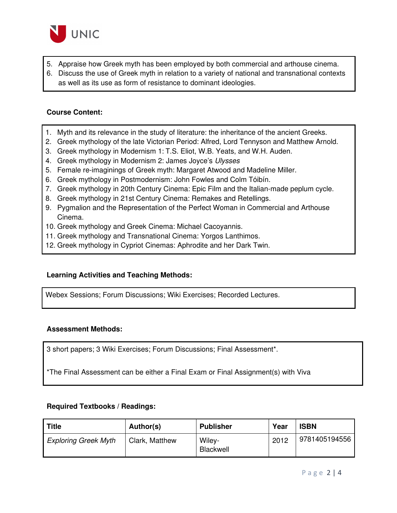

- 5. Appraise how Greek myth has been employed by both commercial and arthouse cinema.
- 6. Discuss the use of Greek myth in relation to a variety of national and transnational contexts as well as its use as form of resistance to dominant ideologies.

## **Course Content:**

- 1. Myth and its relevance in the study of literature: the inheritance of the ancient Greeks.
- 2. Greek mythology of the late Victorian Period: Alfred, Lord Tennyson and Matthew Arnold.
- 3. Greek mythology in Modernism 1: T.S. Eliot, W.B. Yeats, and W.H. Auden*.*
- 4. Greek mythology in Modernism 2: James Joyce's *Ulysses*
- 5. Female re-imaginings of Greek myth: Margaret Atwood and Madeline Miller.
- 6. Greek mythology in Postmodernism: John Fowles and Colm Tóibín.
- 7. Greek mythology in 20th Century Cinema: Epic Film and the Italian-made peplum cycle.
- 8. Greek mythology in 21st Century Cinema: Remakes and Retellings.
- 9. Pygmalion and the Representation of the Perfect Woman in Commercial and Arthouse Cinema.
- 10. Greek mythology and Greek Cinema: Michael Cacoyannis.
- 11. Greek mythology and Transnational Cinema: Yorgos Lanthimos.
- 12. Greek mythology in Cypriot Cinemas: Aphrodite and her Dark Twin.

#### **Learning Activities and Teaching Methods:**

Webex Sessions; Forum Discussions; Wiki Exercises; Recorded Lectures.

### **Assessment Methods:**

3 short papers; 3 Wiki Exercises; Forum Discussions; Final Assessment\*.

\*The Final Assessment can be either a Final Exam or Final Assignment(s) with Viva

#### **Required Textbooks / Readings:**

| <b>Title</b>                | Author(s)      | <b>Publisher</b>    | Year | <b>ISBN</b>   |
|-----------------------------|----------------|---------------------|------|---------------|
| <b>Exploring Greek Myth</b> | Clark, Matthew | Wiley-<br>Blackwell | 2012 | 9781405194556 |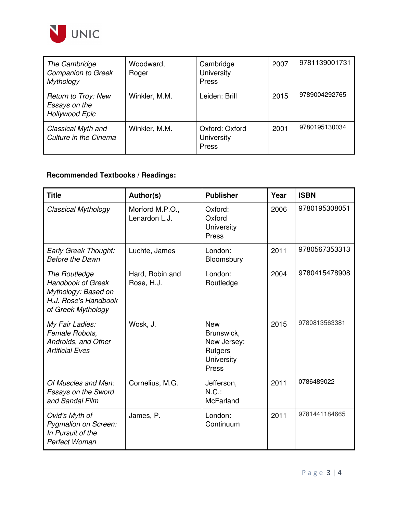

| The Cambridge<br><b>Companion to Greek</b><br><b>Mythology</b>       | Woodward,<br>Roger | Cambridge<br>University<br>Press      | 2007 | 9781139001731 |
|----------------------------------------------------------------------|--------------------|---------------------------------------|------|---------------|
| <b>Return to Troy: New</b><br>Essays on the<br><b>Hollywood Epic</b> | Winkler, M.M.      | Leiden: Brill                         | 2015 | 9789004292765 |
| Classical Myth and<br>Culture in the Cinema                          | Winkler, M.M.      | Oxford: Oxford<br>University<br>Press | 2001 | 9780195130034 |

# **Recommended Textbooks / Readings:**

| <b>Title</b>                                                                                                          | Author(s)                        | <b>Publisher</b>                                                          | Year | <b>ISBN</b>   |
|-----------------------------------------------------------------------------------------------------------------------|----------------------------------|---------------------------------------------------------------------------|------|---------------|
| <b>Classical Mythology</b>                                                                                            | Morford M.P.O.,<br>Lenardon L.J. | Oxford:<br>Oxford<br>University<br>Press                                  | 2006 | 9780195308051 |
| Early Greek Thought:<br><b>Before the Dawn</b>                                                                        | Luchte, James                    | London:<br>Bloomsbury                                                     | 2011 | 9780567353313 |
| <b>The Routledge</b><br><b>Handbook of Greek</b><br>Mythology: Based on<br>H.J. Rose's Handbook<br>of Greek Mythology | Hard, Robin and<br>Rose, H.J.    | London:<br>Routledge                                                      | 2004 | 9780415478908 |
| My Fair Ladies:<br>Female Robots,<br>Androids, and Other<br><b>Artificial Eves</b>                                    | Wosk, J.                         | <b>New</b><br>Brunswick,<br>New Jersey:<br>Rutgers<br>University<br>Press | 2015 | 9780813563381 |
| Of Muscles and Men:<br><b>Essays on the Sword</b><br>and Sandal Film                                                  | Cornelius, M.G.                  | Jefferson,<br>$N.C.$ :<br>McFarland                                       | 2011 | 0786489022    |
| Ovid's Myth of<br>Pygmalion on Screen:<br>In Pursuit of the<br>Perfect Woman                                          | James, P.                        | London:<br>Continuum                                                      | 2011 | 9781441184665 |